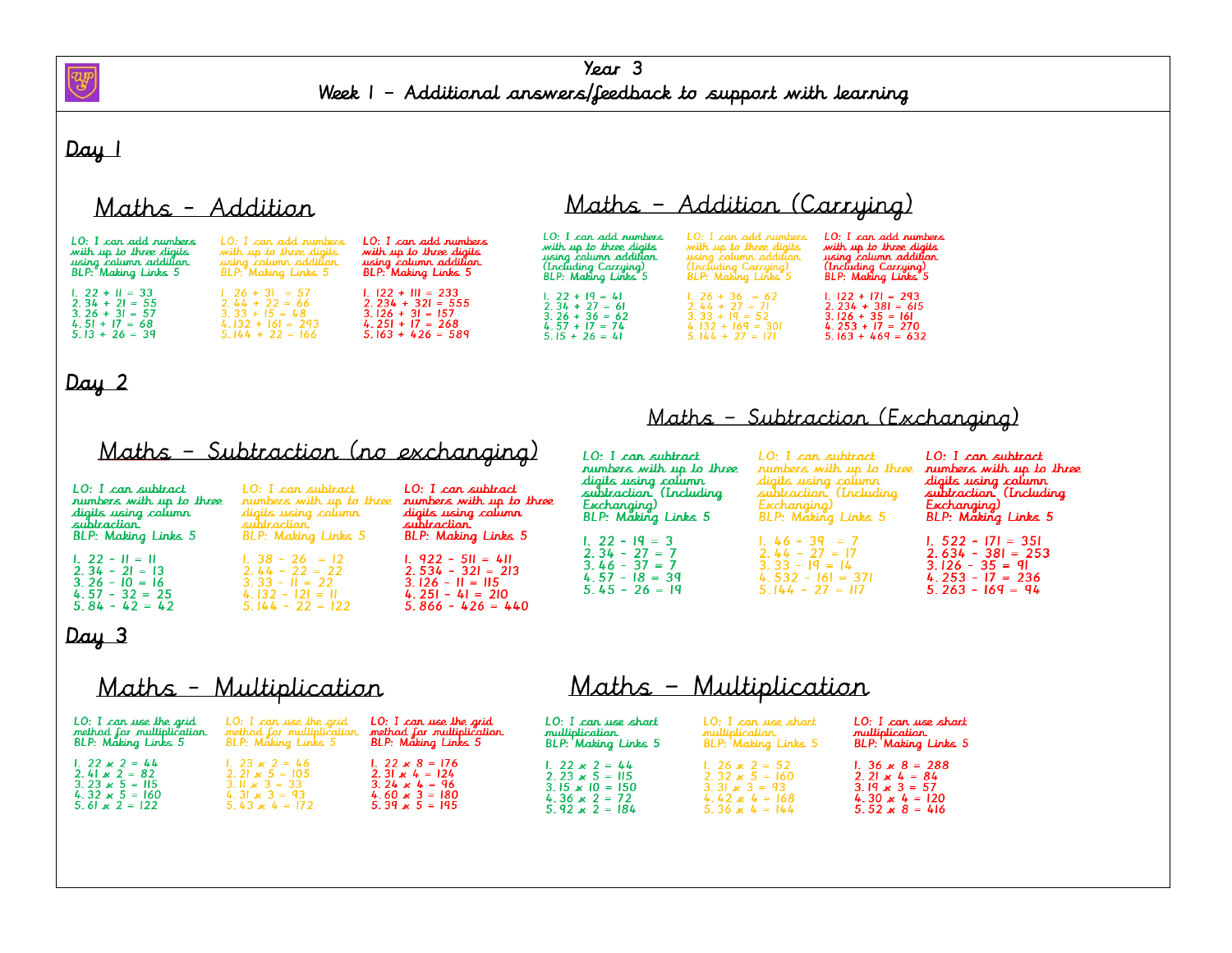

#### Day 1

## Maths - Addition

#### LO: I can add numbers LO: I can add numbers LO: I can add numbers LO: I can add numbers LO: I can add numbers LO: I can add numbers with up to three digits<br>using column addition.<br>(Including Carrying)<br>BLP: Making Links 5 with up to three digits<br>using column addition.<br>(Including Carrying)<br>BLP: Making Links 5 with up to three digits er . I sun und numers<br>with up to three digits<br>using column addition.<br>BLP: Making Links 5 er . I sun suid numers<br>with up to three digits<br>using column addition.<br>BLP: Making Links 5 with up to three digits using calumn addition using column addition.<br>BLP: Making Links 5 (Including Carrying)<br>BLP: Making Links 5 1.  $26 + 31 = 57$ <br>
2.  $44 + 22 = 66$ <br>
3.  $33 + 15 = 48$  $1.122 + 111 = 233$  $1.22 + 11 = 33$ 1.  $122 + 171 = 293$ <br>
2.  $234 + 381 = 615$ 1. 22 + 19 = 41 1.  $26 + 36 = 62$ <br>
2.  $44 + 27 = 71$ <br>
3.  $33 + 19 = 52$ <br>
4.  $132 + 169 = 301$  $2.\overline{34} + \overline{21} = \overline{55}$  $2.234 + 321 = 555$  $2.34 + 27 = 61$ 2.  $34 + 21 = 33$ <br>
3.  $26 + 31 = 57$ <br>
4.  $51 + 17 = 68$ <br>
5.  $13 + 26 = 39$  $3.126 + 31 = 157$  $3.26 + 36 = 62$ <br>4.57 + 17 = 74  $3.126 + 35 = 161$ <br>4.253 + 17 = 270  $4.132 + 161 = 293$  $4.251 + 17 = 268$  $5.144 + 22 = 166$  $5.163 + 426 = 589$  $5.15 + 26 = 41$  $5.144 + 27 = 171$  $5.163 + 469 = 632$

## Day 2

|  |  | Maths – Subtraction (no exchanaina) |  |
|--|--|-------------------------------------|--|
|  |  |                                     |  |

#### Maths - Subtraction (Exchanging)

Maths - Addition (Carrying)

Maths - Multiplication

|                                                                                      | <u> Maths - subtraction (ho exchanging)</u>                                           |                                                                                       | LO: I can subtract                                                                                              | LO: I can subtract                                                                                              | LO: I can subtract                                                                                              |
|--------------------------------------------------------------------------------------|---------------------------------------------------------------------------------------|---------------------------------------------------------------------------------------|-----------------------------------------------------------------------------------------------------------------|-----------------------------------------------------------------------------------------------------------------|-----------------------------------------------------------------------------------------------------------------|
| LO: I can subtract<br>rumbers with up to three<br>digits using column<br>subtraction | LO: I can subtract<br>rumbers with up to three<br>diaits usira calumr<br>subtraction. | LO: I can subtract<br>rumbers with up to three<br>digits using column<br>subtraction. | runbers with up to three<br>digits using column<br>subtraction (Including<br>Exchanging)<br>BLP: Making Links 5 | rumbers with up to three<br>digits using column<br>subtraction (Including<br>Exchanaina)<br>BLP: Making Links 5 | rumbers with up to three<br>digits using column<br>subtraction (Including<br>Exchanging)<br>BLP: Making Links 5 |
| <b>BLP:</b> Making Links 5                                                           | <b>BLP:</b> Making Links 5                                                            | <b>BLP:</b> Making Links 5                                                            | $1.22 - 19 = 3$<br>$2.34 - 27 = 7$                                                                              | $1\,46 - 39 = 7$<br>$2.44 - 27 = 17$                                                                            | $1.522 - 171 = 351$<br>$2.634 - 381 = 253$                                                                      |
| $1.22 - 11 = 11$<br>$2.34 - 21 = 13$<br>$3.26 - 10 = 16$<br>$4.57 - 32 = 25$         | $1.38 - 26 = 12$<br>$2.44 - 22 = 22$<br>$3.33 - 11 = 22$<br>$4.132 - 121 = 11$        | $1.922 - 51 = 411$<br>$2.534 - 321 = 213$<br>$3.126 - H = H5$<br>$4.251 - 41 = 210$   | $3.46 - 37 = 7$<br>$4.57 - 18 = 39$<br>$5.45 - 26 = 19$                                                         | $3.33 - 19 = 14$<br>$4.532 - 161 = 371$<br>$5.144 - 27 = 117$                                                   | $3.126 - 35 = 91$<br>$4.253 - 17 = 236$<br>$5.263 - 169 = 94$                                                   |
| $5.84 - 42 = 42$                                                                     | $5.144 - 22 = 122$                                                                    | $5.866 - 426 = 440$                                                                   |                                                                                                                 |                                                                                                                 |                                                                                                                 |

#### Day 3

### Maths - Multiplication

| LO: I can use the grid    | LO: I can use the arid    | LO: I can use the grid     | LO: I can use short    | LO: I can use short   | LO: I can use short    |
|---------------------------|---------------------------|----------------------------|------------------------|-----------------------|------------------------|
| method for multiplication | method for multiplication | method for multiplication. | multiplication.        | multiplication.       | multiplication.        |
| BLP: Making Links 5       | BLP: Måking Links 5       | BLP: Making Links 5        | BLP: Making Links 5    | BLP: Making Links 5   | BLP: Making Links 5    |
| $1.22 \times 2 = 44$      | $1.23 \times 2 = 46$      | 1. 22 $\times$ 8 = 176     | 1. 22 $\times$ 2 = 44  | $1.26 \times 2 = 52$  | 1. 36 $\times$ 8 = 288 |
| $2.41 \times 2 = 82$      | 2. 21 $\times$ 5 = 105    | 2. 31 $\mathbf{x}$ 4 = 124 | 2.23 $\times$ 5 = 115  | $2.32 \times 5 = 160$ | 2. 21 $\times$ 4 = 84  |
| 3.23 $\times$ 5 = 115     | 3. II $\times$ 3 = 33     | 3.24 $\times$ 4 = 96       | 3.15 $\times$ 10 = 150 | 3. 31 $\times$ 3 = 93 | 3 19 $\times$ 3 = 57   |
| 4.32 $\times$ 5 = 160     | 4.31 $\times$ 3 = 93      | 4.60 $\times$ 3 = 180      | 4.36 $\times$ 2 = 72   | $4.42 \times 4 = 168$ | 4.30 $\times$ 4 = 120  |
| 5.61 $\times$ 2 = 122     | 5.43 $\times$ 4 = 172     | $5.39 \times 5 = 195$      | 5.92 $\times$ 2 = 184  | 5.36 $\times$ 4 = 144 | $5.52 \times 8 = 416$  |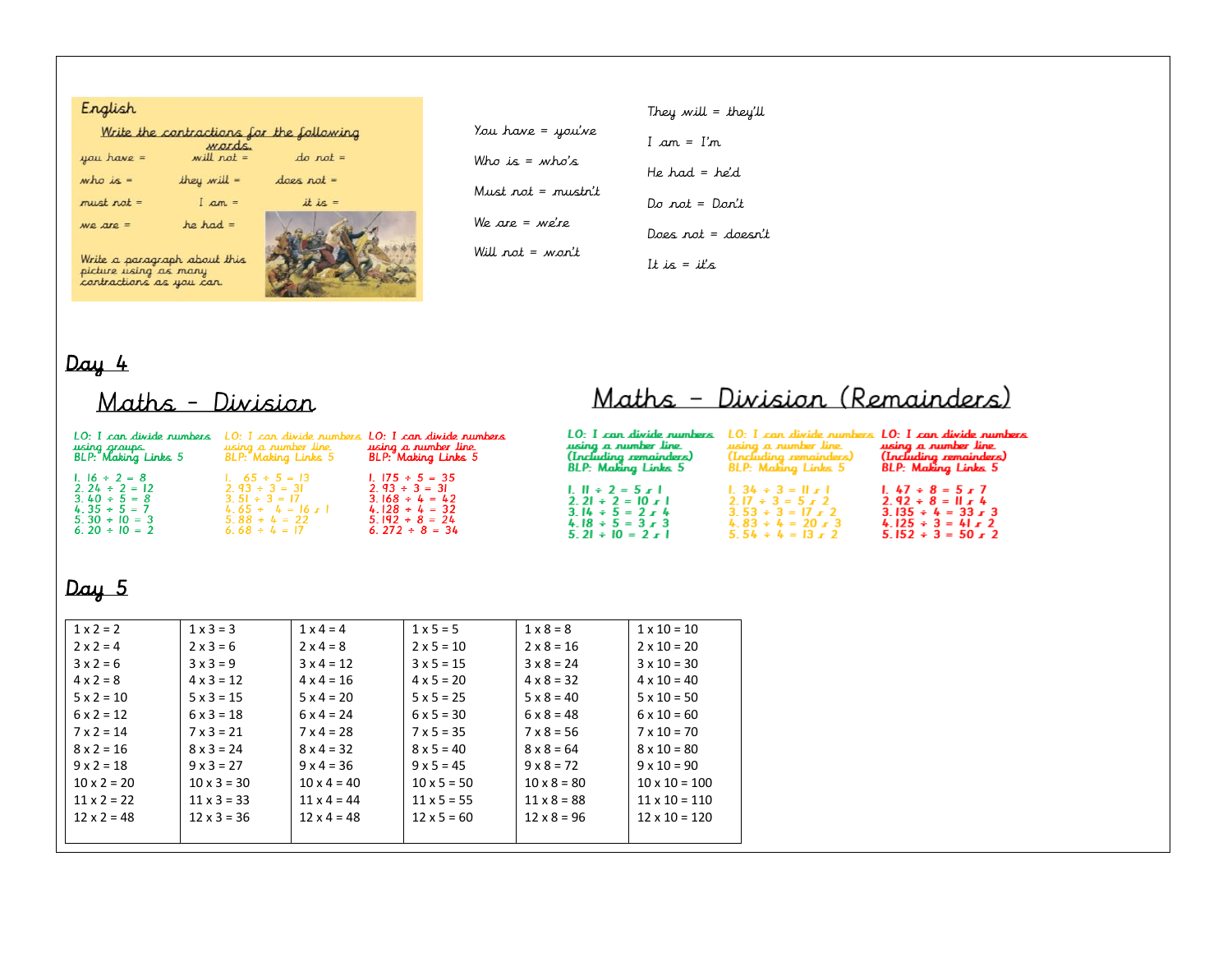#### English

|              | Write the contractions for the following                                            |              |
|--------------|-------------------------------------------------------------------------------------|--------------|
| you have =   | <i><u>Mords</u></i><br>$\begin{array}{c}\n\text{wcl } \text{not } = \\ \end{array}$ | $do not =$   |
| who is $=$   | they will $=$                                                                       | $does not =$ |
| $must not =$ | $I am =$                                                                            | it is $=$    |
| $we are =$   | $he$ had =                                                                          |              |
|              | Write a paragraph about this<br>picture using as many<br>contractions as you can.   |              |

| You have = you've  |
|--------------------|
| Who is = who's     |
| Must not = mustn't |
| We are = we're     |
| Will not = won't   |

They will = they'll  $I am = I'm$ He had =  $he'd$  $Do$  not =  $Don't$ Does not =  $doesn't$ 

It is = it's

# $Day 4$

# Maths - Division

# Maths - Division (Remainders)

|                                      |                             | LO: I can divide numbers LO: I can divide numbers LO: I can divide numbers | LO: I can divide numbers                             | LO: I can divide numbers                      | . LO: I can divide numbers                           |
|--------------------------------------|-----------------------------|----------------------------------------------------------------------------|------------------------------------------------------|-----------------------------------------------|------------------------------------------------------|
| using groups.<br>BLP: Making Links 5 | using a number line         | using a number line                                                        | using a number line                                  | using a number line                           | using a number line                                  |
|                                      | <b>BLP: Making Links 5</b>  | BLP: Making Links 5                                                        | (Including remainders)<br><b>BLP:</b> Making Links 5 | (Including remainders)<br>BLP: Making Links 5 | (Including remainders)<br><b>BLP:</b> Making Links 5 |
| $1.16 \div 2 = 8$                    | 1. $65 \div 5 = 13$         | 1. $175 \div 5 = 35$                                                       |                                                      |                                               |                                                      |
| $2.24 \div 2 = 12$                   | $2.93 \div 3 = 31$          | $2.93 \div 3 = 31$                                                         | $1.11 \div 2 = 5 \times 1$                           | $1.34 \div 3 = 11 \times 1$                   | $1.47 \div 8 = 5 \times 7$                           |
| $3.40 \div 5 = 8$                    | $3.51 \div 3 = 17$          | $3.168 \div 4 = 42$                                                        | $2.21 \div 2 = 10$ $r +$                             | $2.17 \div 3 = 5 \times 2$                    | $2.92 \div 8 = 11 \times 4$                          |
| $4.35 \div 5 = 7$                    | $4.65 \div 4 = 16 \times 1$ | $4.128 \div 4 = 32$                                                        | $3.14 \div 5 = 2 \times 4$                           | $3.53 \div 3 = 17 \times 2$                   | $3.135 \div 4 = 33 \times 3$                         |
| $5.30 \div 10 = 3$                   | $5.88 \div 4 = 22$          | $5.192 \div 8 = 24$                                                        | $4.18 \div 5 = 3 \times 3$                           | $4.83 \div 4 = 20 \times 3$                   | $4.125 \div 3 = 41 \times 2$                         |
| $6.20 \div 10 = 2$                   | $6.68 \div 4 = 17$          | $6.272 \div 8 = 34$                                                        | $5.21 \div 10 = 2 \times 1$                          | $5.54 \div 4 = 13 \times 2$                   | $5.152 \div 3 = 50 \times 2$                         |

# $Day 5$

| $1 \times 2 = 2$   | $1 \times 3 = 3$   | $1 \times 4 = 4$   | $1 \times 5 = 5$   | $1 \times 8 = 8$   | $1 \times 10 = 10$   |
|--------------------|--------------------|--------------------|--------------------|--------------------|----------------------|
| $2 \times 2 = 4$   | $2 \times 3 = 6$   | $2 \times 4 = 8$   | $2 \times 5 = 10$  | $2 \times 8 = 16$  | $2 \times 10 = 20$   |
| $3x2=6$            | $3x3=9$            | $3x4 = 12$         | $3 \times 5 = 15$  | $3 \times 8 = 24$  | $3 \times 10 = 30$   |
| $4 \times 2 = 8$   | $4 \times 3 = 12$  | $4 \times 4 = 16$  | $4 \times 5 = 20$  | $4 \times 8 = 32$  | $4 \times 10 = 40$   |
| $5 \times 2 = 10$  | $5 \times 3 = 15$  | $5 \times 4 = 20$  | $5 \times 5 = 25$  | $5 \times 8 = 40$  | $5 \times 10 = 50$   |
| $6 \times 2 = 12$  | $6 \times 3 = 18$  | $6 \times 4 = 24$  | $6 \times 5 = 30$  | $6 \times 8 = 48$  | $6 \times 10 = 60$   |
| $7 \times 2 = 14$  | $7 \times 3 = 21$  | $7 \times 4 = 28$  | $7 \times 5 = 35$  | $7 \times 8 = 56$  | $7 \times 10 = 70$   |
| $8 \times 2 = 16$  | $8 \times 3 = 24$  | $8 \times 4 = 32$  | $8 \times 5 = 40$  | $8 \times 8 = 64$  | $8 \times 10 = 80$   |
| $9 \times 2 = 18$  | $9 \times 3 = 27$  | $9 \times 4 = 36$  | $9 \times 5 = 45$  | $9 \times 8 = 72$  | $9 \times 10 = 90$   |
| $10 \times 2 = 20$ | $10 \times 3 = 30$ | $10 \times 4 = 40$ | $10 \times 5 = 50$ | $10 \times 8 = 80$ | $10 \times 10 = 100$ |
| $11 \times 2 = 22$ | $11 \times 3 = 33$ | $11 \times 4 = 44$ | $11 \times 5 = 55$ | $11 \times 8 = 88$ | $11 \times 10 = 110$ |
| $12 \times 2 = 48$ | $12 \times 3 = 36$ | $12 \times 4 = 48$ | $12 \times 5 = 60$ | $12 \times 8 = 96$ | $12 \times 10 = 120$ |
|                    |                    |                    |                    |                    |                      |